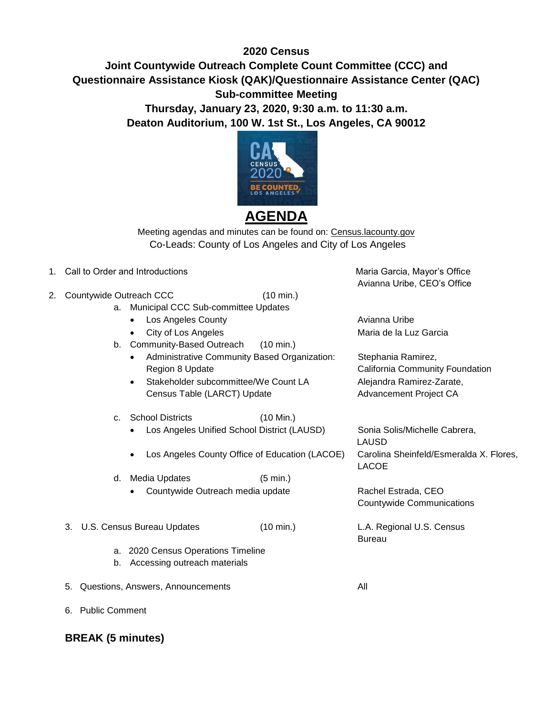## **2020 Census**

## **Joint Countywide Outreach Complete Count Committee (CCC) and Questionnaire Assistance Kiosk (QAK)/Questionnaire Assistance Center (QAC) Sub-committee Meeting Thursday, January 23, 2020, 9:30 a.m. to 11:30 a.m. Deaton Auditorium, 100 W. 1st St., Los Angeles, CA 90012**



## **AGENDA**

Meeting agendas and minutes can be found on: Census.lacounty.gov Co-Leads: County of Los Angeles and City of Los Angeles

- 1. Call to Order and Introductions Maria Garcia, Mayor's Office is a state of Maria Garcia, Mayor's Office
- 2. Countywide Outreach CCC (10 min.)
	- a. Municipal CCC Sub-committee Updates
		- Los Angeles County **Avianna Uribe**
		-
	- b. Community-Based Outreach (10 min.)
		- Administrative Community Based Organization: Stephania Ramirez, Region 8 Update **California Community Foundation**
		- Stakeholder subcommittee/We Count LA Alejandra Ramirez-Zarate, Census Table (LARCT) Update Advancement Project CA
	- c. School Districts (10 Min.)
		- Los Angeles Unified School District (LAUSD) Sonia Solis/Michelle Cabrera,
		- Los Angeles County Office of Education (LACOE) Carolina Sheinfeld/Esmeralda X. Flores,
	- d. Media Updates (5 min.) Countywide Outreach media update Rachel Estrada, CEO
	- 3. U.S. Census Bureau Updates (10 min.) L.A. Regional U.S. Census
		- a. 2020 Census Operations Timeline
		- b. Accessing outreach materials
	- 5. Questions, Answers, Announcements All

6. Public Comment

**BREAK (5 minutes)** 

Avianna Uribe, CEO's Office

City of Los Angeles **Maria de la Luz Garcia** 

 LAUSD LACOE

Countywide Communications

Bureau